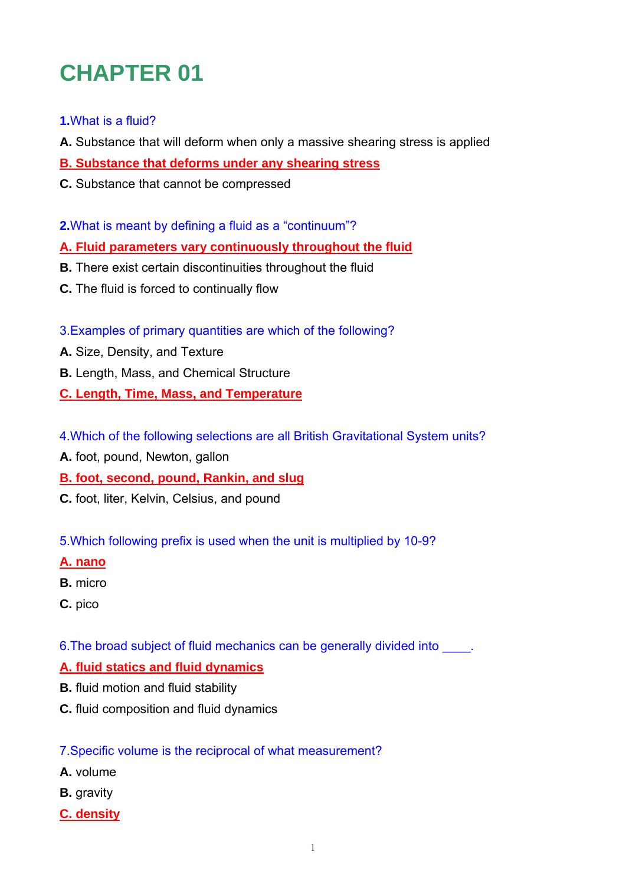# **CHAPTER 01**

# **1.**What is a fluid?

- **A.** Substance that will deform when only a massive shearing stress is applied
- **B. Substance that deforms under any shearing stress**
- **C.** Substance that cannot be compressed
- **2.**What is meant by defining a fluid as a "continuum"?
- **A. Fluid parameters vary continuously throughout the fluid**
- **B.** There exist certain discontinuities throughout the fluid
- **C.** The fluid is forced to continually flow
- 3.Examples of primary quantities are which of the following?
- **A.** Size, Density, and Texture
- **B.** Length, Mass, and Chemical Structure
- **C. Length, Time, Mass, and Temperature**
- 4.Which of the following selections are all British Gravitational System units?
- **A.** foot, pound, Newton, gallon
- **B. foot, second, pound, Rankin, and slug**
- **C.** foot, liter, Kelvin, Celsius, and pound
- 5.Which following prefix is used when the unit is multiplied by 10-9?
- **A. nano**
- **B.** micro
- **C.** pico
- 6. The broad subject of fluid mechanics can be generally divided into

# **A. fluid statics and fluid dynamics**

- **B.** fluid motion and fluid stability
- **C.** fluid composition and fluid dynamics

# 7.Specific volume is the reciprocal of what measurement?

- **A.** volume
- **B.** gravity
- **C. density**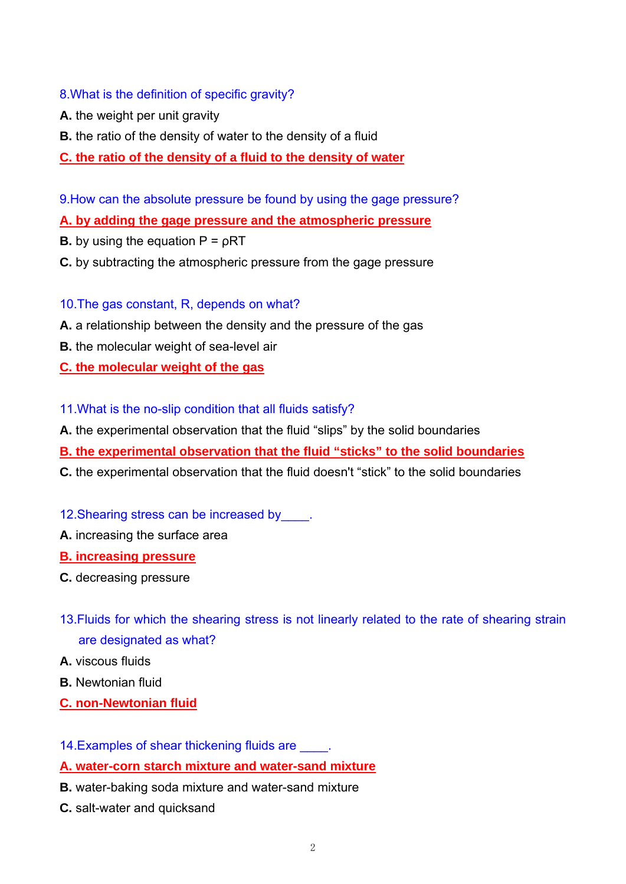# 8.What is the definition of specific gravity?

- **A.** the weight per unit gravity
- **B.** the ratio of the density of water to the density of a fluid
- **C. the ratio of the density of a fluid to the density of water**
- 9.How can the absolute pressure be found by using the gage pressure?

# **A. by adding the gage pressure and the atmospheric pressure**

- **B.** by using the equation  $P = pRT$
- **C.** by subtracting the atmospheric pressure from the gage pressure
- 10.The gas constant, R, depends on what?
- **A.** a relationship between the density and the pressure of the gas
- **B.** the molecular weight of sea-level air

**C. the molecular weight of the gas**

- 11.What is the no-slip condition that all fluids satisfy?
- **A.** the experimental observation that the fluid "slips" by the solid boundaries
- **B. the experimental observation that the fluid "sticks" to the solid boundaries**
- **C.** the experimental observation that the fluid doesn't "stick" to the solid boundaries
- 12. Shearing stress can be increased by  $\qquad$ .
- **A.** increasing the surface area
- **B. increasing pressure**
- **C.** decreasing pressure
- 13.Fluids for which the shearing stress is not linearly related to the rate of shearing strain are designated as what?
- **A.** viscous fluids
- **B.** Newtonian fluid
- **C. non-Newtonian fluid**
- 14. Examples of shear thickening fluids are  $\qquad \Box$
- **A. water-corn starch mixture and water-sand mixture**
- **B.** water-baking soda mixture and water-sand mixture
- **C.** salt-water and quicksand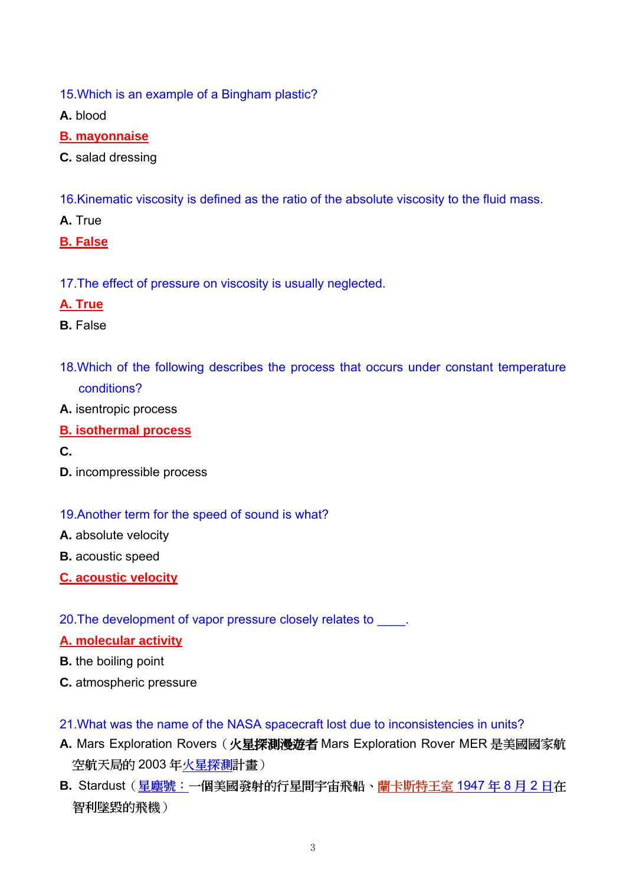15.Which is an example of a Bingham plastic?

**A.** blood

- **B. mayonnaise**
- **C.** salad dressing
- 16.Kinematic viscosity is defined as the ratio of the absolute viscosity to the fluid mass.
- **A.** True
- **B. False**
- 17.The effect of pressure on viscosity is usually neglected.

## **A. True**

- **B.** False
- 18.Which of the following describes the process that occurs under constant temperature conditions?
- **A.** isentropic process
- **B. isothermal process**
- **C.**
- **D.** incompressible process

#### 19.Another term for the speed of sound is what?

- **A.** absolute velocity
- **B.** acoustic speed
- **C. acoustic velocity**
- 20. The development of vapor pressure closely relates to  $\qquad \qquad$ .

#### **A. molecular activity**

- **B.** the boiling point
- **C.** atmospheric pressure
- 21.What was the name of the NASA spacecraft lost due to inconsistencies in units?
- **A.** Mars Exploration Rovers(火星探測漫遊者 Mars Exploration Rover MER 是美國國家航 空航天局的 2003 年火星探測計畫)
- **B.** Stardust(星塵號:一個美國發射的行星間宇宙飛船、蘭卡斯特王室 1947 年 8 月 2 日在 智利墜毀的飛機)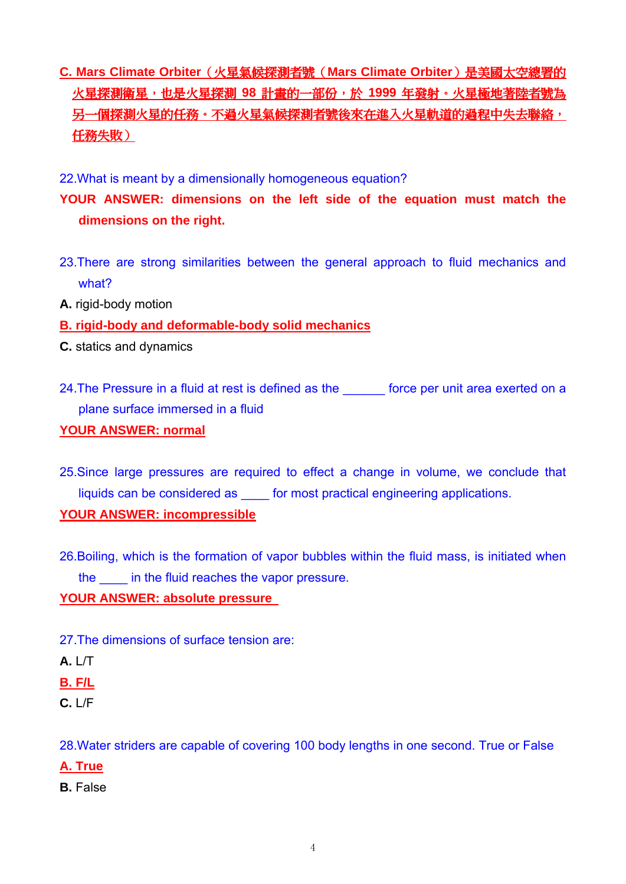- **C. Mars Climate Orbiter**(火星氣候探測者號(**Mars Climate Orbiter**)是美國太空總署的 火星探測衛星,也是火星探測 **98** 計畫的一部份,於 **1999** 年發射。火星極地著陸者號為 另一個探測火星的任務。不過火星氣候探測者號後來在進入火星軌道的過程中失去聯絡, 任務失敗)
- 22.What is meant by a dimensionally homogeneous equation?
- **YOUR ANSWER: dimensions on the left side of the equation must match the dimensions on the right.**
- 23.There are strong similarities between the general approach to fluid mechanics and what?
- **A.** rigid-body motion
- **B. rigid-body and deformable-body solid mechanics**
- **C.** statics and dynamics
- 24. The Pressure in a fluid at rest is defined as the status force per unit area exerted on a plane surface immersed in a fluid

### **YOUR ANSWER: normal**

25.Since large pressures are required to effect a change in volume, we conclude that liquids can be considered as \_\_\_\_ for most practical engineering applications.

## **YOUR ANSWER: incompressible**

26.Boiling, which is the formation of vapor bubbles within the fluid mass, is initiated when the **in the fluid reaches the vapor pressure.** 

## **YOUR ANSWER: absolute pressure**

- 27.The dimensions of surface tension are:
- **A.** L/T
- **B. F/L**
- **C.** L/F

28.Water striders are capable of covering 100 body lengths in one second. True or False

- **A. True**
- **B.** False